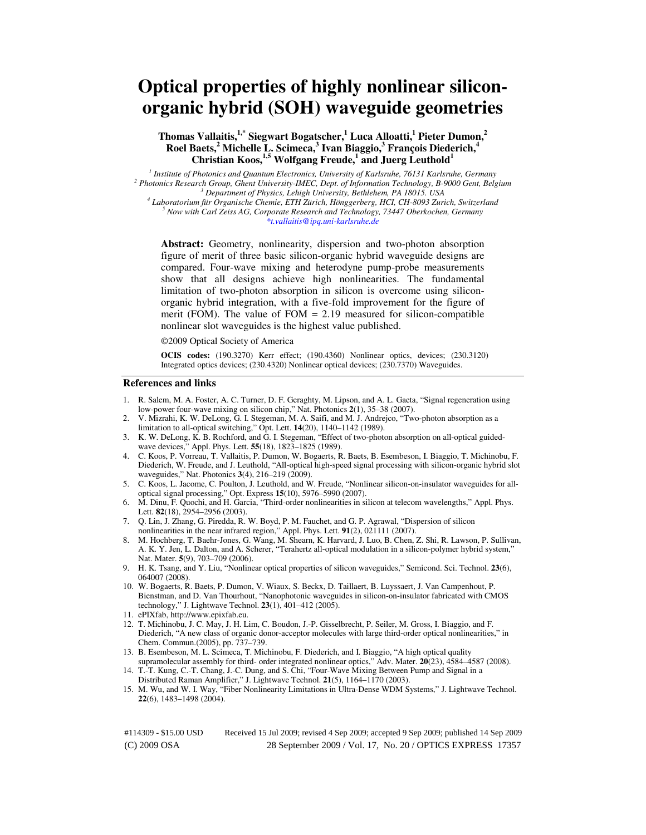# **Optical properties of highly nonlinear siliconorganic hybrid (SOH) waveguide geometries**

# **Thomas Vallaitis,1,\* Siegwart Bogatscher,<sup>1</sup> Luca Alloatti,<sup>1</sup> Pieter Dumon,<sup>2</sup> Roel Baets,<sup>2</sup> Michelle L. Scimeca,<sup>3</sup> Ivan Biaggio,<sup>3</sup> François Diederich,<sup>4</sup> Christian Koos,1,5 Wolfgang Freude,<sup>1</sup> and Juerg Leuthold<sup>1</sup>**

*1 Institute of Photonics and Quantum Electronics, University of Karlsruhe, 76131 Karlsruhe, Germany*  <sup>2</sup> Photonics Research Group, Ghent University-IMEC, Dept. of Information Technology, B-9000 Gent, Belgium *3 Department of Physics, Lehigh University, Bethlehem, PA 18015. USA* 

*4 Laboratorium für Organische Chemie, ETH Zürich, Hönggerberg, HCI, CH-8093 Zurich, Switzerland 5 Now with Carl Zeiss AG, Corporate Research and Technology, 73447 Oberkochen, Germany \*t.vallaitis@ipq.uni-karlsruhe.de* 

**Abstract:** Geometry, nonlinearity, dispersion and two-photon absorption figure of merit of three basic silicon-organic hybrid waveguide designs are compared. Four-wave mixing and heterodyne pump-probe measurements show that all designs achieve high nonlinearities. The fundamental limitation of two-photon absorption in silicon is overcome using siliconorganic hybrid integration, with a five-fold improvement for the figure of merit (FOM). The value of  $FOM = 2.19$  measured for silicon-compatible nonlinear slot waveguides is the highest value published.

©2009 Optical Society of America

**OCIS codes:** (190.3270) Kerr effect; (190.4360) Nonlinear optics, devices; (230.3120) Integrated optics devices; (230.4320) Nonlinear optical devices; (230.7370) Waveguides.

#### **References and links**

- 1. R. Salem, M. A. Foster, A. C. Turner, D. F. Geraghty, M. Lipson, and A. L. Gaeta, "Signal regeneration using low-power four-wave mixing on silicon chip," Nat. Photonics **2**(1), 35–38 (2007).
- 2. V. Mizrahi, K. W. DeLong, G. I. Stegeman, M. A. Saifi, and M. J. Andrejco, "Two-photon absorption as a limitation to all-optical switching," Opt. Lett. **14**(20), 1140–1142 (1989).
- 3. K. W. DeLong, K. B. Rochford, and G. I. Stegeman, "Effect of two-photon absorption on all-optical guidedwave devices," Appl. Phys. Lett. **55**(18), 1823–1825 (1989).
- 4. C. Koos, P. Vorreau, T. Vallaitis, P. Dumon, W. Bogaerts, R. Baets, B. Esembeson, I. Biaggio, T. Michinobu, F. Diederich, W. Freude, and J. Leuthold, "All-optical high-speed signal processing with silicon-organic hybrid slot waveguides," Nat. Photonics **3**(4), 216–219 (2009).
- 5. C. Koos, L. Jacome, C. Poulton, J. Leuthold, and W. Freude, "Nonlinear silicon-on-insulator waveguides for alloptical signal processing," Opt. Express **15**(10), 5976–5990 (2007).
- 6. M. Dinu, F. Quochi, and H. Garcia, "Third-order nonlinearities in silicon at telecom wavelengths," Appl. Phys. Lett. **82**(18), 2954–2956 (2003).
- 7. Q. Lin, J. Zhang, G. Piredda, R. W. Boyd, P. M. Fauchet, and G. P. Agrawal, "Dispersion of silicon nonlinearities in the near infrared region," Appl. Phys. Lett. **91**(2), 021111 (2007).
- 8. M. Hochberg, T. Baehr-Jones, G. Wang, M. Shearn, K. Harvard, J. Luo, B. Chen, Z. Shi, R. Lawson, P. Sullivan, A. K. Y. Jen, L. Dalton, and A. Scherer, "Terahertz all-optical modulation in a silicon-polymer hybrid system," Nat. Mater. **5**(9), 703–709 (2006).
- 9. H. K. Tsang, and Y. Liu, "Nonlinear optical properties of silicon waveguides," Semicond. Sci. Technol. **23**(6), 064007 (2008).
- 10. W. Bogaerts, R. Baets, P. Dumon, V. Wiaux, S. Beckx, D. Taillaert, B. Luyssaert, J. Van Campenhout, P. Bienstman, and D. Van Thourhout, "Nanophotonic waveguides in silicon-on-insulator fabricated with CMOS technology," J. Lightwave Technol. **23**(1), 401–412 (2005).
- 11. ePIXfab, http://www.epixfab.eu.
- 12. T. Michinobu, J. C. May, J. H. Lim, C. Boudon, J.-P. Gisselbrecht, P. Seiler, M. Gross, I. Biaggio, and F. Diederich, "A new class of organic donor-acceptor molecules with large third-order optical nonlinearities," in Chem. Commun.(2005), pp. 737–739.
- 13. B. Esembeson, M. L. Scimeca, T. Michinobu, F. Diederich, and I. Biaggio, "A high optical quality supramolecular assembly for third- order integrated nonlinear optics," Adv. Mater. **20**(23), 4584–4587 (2008).
- 14. T.-T. Kung, C.-T. Chang, J.-C. Dung, and S. Chi, "Four-Wave Mixing Between Pump and Signal in a Distributed Raman Amplifier," J. Lightwave Technol. **21**(5), 1164–1170 (2003).
- 15. M. Wu, and W. I. Way, "Fiber Nonlinearity Limitations in Ultra-Dense WDM Systems," J. Lightwave Technol. **22**(6), 1483–1498 (2004).

(C) 2009 OSA 28 September 2009 / Vol. 17, No. 20 / OPTICS EXPRESS 17357 #114309 - \$15.00 USD Received 15 Jul 2009; revised 4 Sep 2009; accepted 9 Sep 2009; published 14 Sep 2009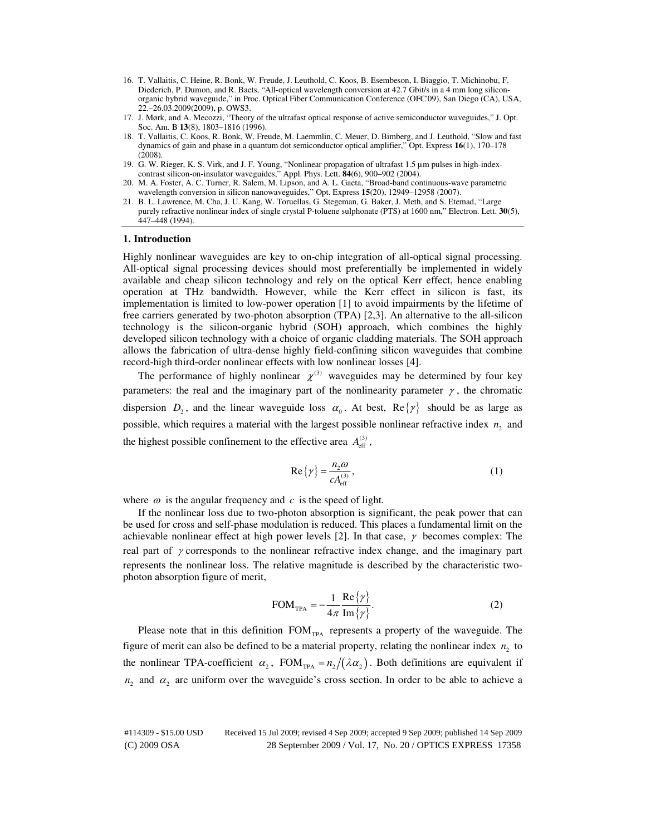- 16. T. Vallaitis, C. Heine, R. Bonk, W. Freude, J. Leuthold, C. Koos, B. Esembeson, I. Biaggio, T. Michinobu, F. Diederich, P. Dumon, and R. Baets, "All-optical wavelength conversion at 42.7 Gbit/s in a 4 mm long siliconorganic hybrid waveguide," in Proc. Optical Fiber Communication Conference (OFC'09), San Diego (CA), USA, 22.–26.03.2009(2009), p. OWS3.
- 17. J. Mørk, and A. Mecozzi, "Theory of the ultrafast optical response of active semiconductor waveguides," J. Opt. Soc. Am. B **13**(8), 1803–1816 (1996).
- 18. T. Vallaitis, C. Koos, R. Bonk, W. Freude, M. Laemmlin, C. Meuer, D. Bimberg, and J. Leuthold, "Slow and fast dynamics of gain and phase in a quantum dot semiconductor optical amplifier," Opt. Express **16**(1), 170–178 (2008).
- 19. G. W. Rieger, K. S. Virk, and J. F. Young, "Nonlinear propagation of ultrafast 1.5 µm pulses in high-indexcontrast silicon-on-insulator waveguides," Appl. Phys. Lett. **84**(6), 900–902 (2004).
- 20. M. A. Foster, A. C. Turner, R. Salem, M. Lipson, and A. L. Gaeta, "Broad-band continuous-wave parametric wavelength conversion in silicon nanowaveguides," Opt. Express **15**(20), 12949–12958 (2007).
- 21. B. L. Lawrence, M. Cha, J. U. Kang, W. Toruellas, G. Stegeman, G. Baker, J. Meth, and S. Etemad, "Large purely refractive nonlinear index of single crystal P-toluene sulphonate (PTS) at 1600 nm," Electron. Lett. **30**(5), 447–448 (1994).

#### **1. Introduction**

Highly nonlinear waveguides are key to on-chip integration of all-optical signal processing. All-optical signal processing devices should most preferentially be implemented in widely available and cheap silicon technology and rely on the optical Kerr effect, hence enabling operation at THz bandwidth. However, while the Kerr effect in silicon is fast, its implementation is limited to low-power operation [1] to avoid impairments by the lifetime of free carriers generated by two-photon absorption (TPA) [2,3]. An alternative to the all-silicon technology is the silicon-organic hybrid (SOH) approach, which combines the highly developed silicon technology with a choice of organic cladding materials. The SOH approach allows the fabrication of ultra-dense highly field-confining silicon waveguides that combine record-high third-order nonlinear effects with low nonlinear losses [4].

The performance of highly nonlinear  $\chi^{(3)}$  waveguides may be determined by four key parameters: the real and the imaginary part of the nonlinearity parameter  $\gamma$ , the chromatic dispersion  $D_2$ , and the linear waveguide loss  $\alpha_0$ . At best,  $\text{Re}\{\gamma\}$  should be as large as possible, which requires a material with the largest possible nonlinear refractive index  $n_2$  and the highest possible confinement to the effective area  $A_{\text{eff}}^{(3)}$ ,

$$
\operatorname{Re}\left\{\gamma\right\} = \frac{n_2 \omega}{c A_{\text{eff}}^{(3)}},\tag{1}
$$

where  $\omega$  is the angular frequency and  $c$  is the speed of light.

If the nonlinear loss due to two-photon absorption is significant, the peak power that can be used for cross and self-phase modulation is reduced. This places a fundamental limit on the achievable nonlinear effect at high power levels [2]. In that case,  $\gamma$  becomes complex: The real part of  $\gamma$  corresponds to the nonlinear refractive index change, and the imaginary part represents the nonlinear loss. The relative magnitude is described by the characteristic twophoton absorption figure of merit,

$$
FOM_{TPA} = -\frac{1}{4\pi} \frac{\text{Re}\{\gamma\}}{\text{Im}\{\gamma\}}.
$$
 (2)

Please note that in this definition  $FOM_{TPA}$  represents a property of the waveguide. The figure of merit can also be defined to be a material property, relating the nonlinear index  $n_2$  to the nonlinear TPA-coefficient  $\alpha_2$ , FOM<sub>TPA</sub> =  $n_2/(\lambda \alpha_2)$ . Both definitions are equivalent if  $n_2$  and  $\alpha_2$  are uniform over the waveguide's cross section. In order to be able to achieve a

(C) 2009 OSA 28 September 2009 / Vol. 17, No. 20 / OPTICS EXPRESS 17358 #114309 - \$15.00 USD Received 15 Jul 2009; revised 4 Sep 2009; accepted 9 Sep 2009; published 14 Sep 2009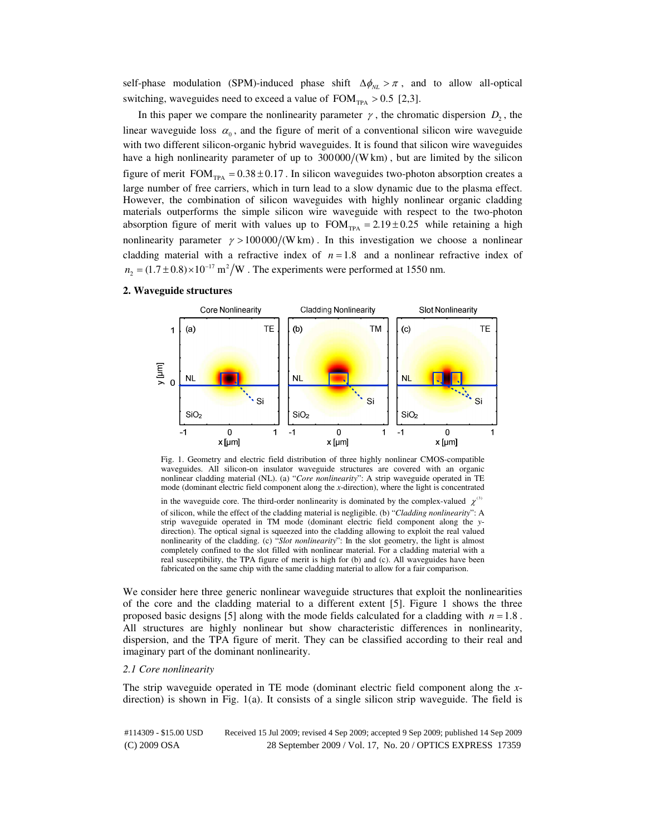self-phase modulation (SPM)-induced phase shift  $\Delta \phi_{NL} > \pi$ , and to allow all-optical switching, waveguides need to exceed a value of  $FOM_{TPA} > 0.5$  [2,3].

In this paper we compare the nonlinearity parameter  $\gamma$ , the chromatic dispersion  $D_2$ , the linear waveguide loss  $\alpha_0$ , and the figure of merit of a conventional silicon wire waveguide with two different silicon-organic hybrid waveguides. It is found that silicon wire waveguides have a high nonlinearity parameter of up to  $300000/(W \text{ km})$ , but are limited by the silicon figure of merit  $FOM_{TPA} = 0.38 \pm 0.17$ . In silicon waveguides two-photon absorption creates a large number of free carriers, which in turn lead to a slow dynamic due to the plasma effect. However, the combination of silicon waveguides with highly nonlinear organic cladding materials outperforms the simple silicon wire waveguide with respect to the two-photon absorption figure of merit with values up to  $FOM_{TPA} = 2.19 \pm 0.25$  while retaining a high nonlinearity parameter  $\gamma > 100000/(W \text{ km})$ . In this investigation we choose a nonlinear cladding material with a refractive index of  $n = 1.8$  and a nonlinear refractive index of  $n_2 = (1.7 \pm 0.8) \times 10^{-17} \text{ m}^2/\text{W}$ . The experiments were performed at 1550 nm.

## **2. Waveguide structures**



Fig. 1. Geometry and electric field distribution of three highly nonlinear CMOS-compatible waveguides. All silicon-on insulator waveguide structures are covered with an organic nonlinear cladding material (NL). (a) "*Core nonlinearity*": A strip waveguide operated in TE mode (dominant electric field component along the *x*-direction), where the light is concentrated

in the waveguide core. The third-order nonlinearity is dominated by the complex-valued  $\chi^{(3)}$ of silicon, while the effect of the cladding material is negligible. (b) "*Cladding nonlinearity*": A strip waveguide operated in TM mode (dominant electric field component along the *y*direction). The optical signal is squeezed into the cladding allowing to exploit the real valued nonlinearity of the cladding. (c) "*Slot nonlinearity*": In the slot geometry, the light is almost completely confined to the slot filled with nonlinear material. For a cladding material with a real susceptibility, the TPA figure of merit is high for (b) and (c). All waveguides have been fabricated on the same chip with the same cladding material to allow for a fair comparison.

We consider here three generic nonlinear waveguide structures that exploit the nonlinearities of the core and the cladding material to a different extent [5]. Figure 1 shows the three proposed basic designs [5] along with the mode fields calculated for a cladding with  $n = 1.8$ . All structures are highly nonlinear but show characteristic differences in nonlinearity, dispersion, and the TPA figure of merit. They can be classified according to their real and imaginary part of the dominant nonlinearity.

#### *2.1 Core nonlinearity*

The strip waveguide operated in TE mode (dominant electric field component along the *x*direction) is shown in Fig. 1(a). It consists of a single silicon strip waveguide. The field is

(C) 2009 OSA 28 September 2009 / Vol. 17, No. 20 / OPTICS EXPRESS 17359 #114309 - \$15.00 USD Received 15 Jul 2009; revised 4 Sep 2009; accepted 9 Sep 2009; published 14 Sep 2009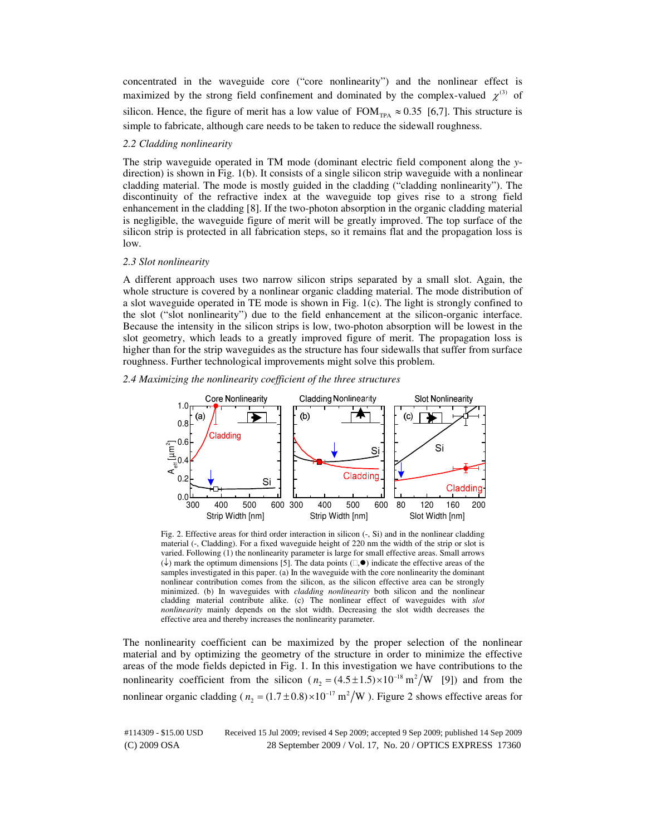concentrated in the waveguide core ("core nonlinearity") and the nonlinear effect is maximized by the strong field confinement and dominated by the complex-valued  $\chi^{(3)}$  of silicon. Hence, the figure of merit has a low value of  $FOM_{TPA} \approx 0.35$  [6,7]. This structure is simple to fabricate, although care needs to be taken to reduce the sidewall roughness.

#### *2.2 Cladding nonlinearity*

The strip waveguide operated in TM mode (dominant electric field component along the *y*direction) is shown in Fig. 1(b). It consists of a single silicon strip waveguide with a nonlinear cladding material. The mode is mostly guided in the cladding ("cladding nonlinearity"). The discontinuity of the refractive index at the waveguide top gives rise to a strong field enhancement in the cladding [8]. If the two-photon absorption in the organic cladding material is negligible, the waveguide figure of merit will be greatly improved. The top surface of the silicon strip is protected in all fabrication steps, so it remains flat and the propagation loss is low.

#### *2.3 Slot nonlinearity*

A different approach uses two narrow silicon strips separated by a small slot. Again, the whole structure is covered by a nonlinear organic cladding material. The mode distribution of a slot waveguide operated in TE mode is shown in Fig. 1(c). The light is strongly confined to the slot ("slot nonlinearity") due to the field enhancement at the silicon-organic interface. Because the intensity in the silicon strips is low, two-photon absorption will be lowest in the slot geometry, which leads to a greatly improved figure of merit. The propagation loss is higher than for the strip waveguides as the structure has four sidewalls that suffer from surface roughness. Further technological improvements might solve this problem.

### *2.4 Maximizing the nonlinearity coefficient of the three structures*



Fig. 2. Effective areas for third order interaction in silicon  $(-, Si)$  and in the nonlinear cladding material (-, Cladding). For a fixed waveguide height of 220 nm the width of the strip or slot is varied. Following (1) the nonlinearity parameter is large for small effective areas. Small arrows  $(\downarrow)$  mark the optimum dimensions [5]. The data points  $(\square, \bullet)$  indicate the effective areas of the samples investigated in this paper. (a) In the waveguide with the core nonlinearity the dominant nonlinear contribution comes from the silicon, as the silicon effective area can be strongly minimized. (b) In waveguides with *cladding nonlinearity* both silicon and the nonlinear cladding material contribute alike. (c) The nonlinear effect of waveguides with *slot nonlinearity* mainly depends on the slot width. Decreasing the slot width decreases the effective area and thereby increases the nonlinearity parameter.

The nonlinearity coefficient can be maximized by the proper selection of the nonlinear material and by optimizing the geometry of the structure in order to minimize the effective areas of the mode fields depicted in Fig. 1. In this investigation we have contributions to the nonlinearity coefficient from the silicon  $(n_2 = (4.5 \pm 1.5) \times 10^{-18} \text{ m}^2/\text{W}$  [9]) and from the nonlinear organic cladding ( $n_2 = (1.7 \pm 0.8) \times 10^{-17} \text{ m}^2/\text{W}$ ). Figure 2 shows effective areas for

(C) 2009 OSA 28 September 2009 / Vol. 17, No. 20 / OPTICS EXPRESS 17360 #114309 - \$15.00 USD Received 15 Jul 2009; revised 4 Sep 2009; accepted 9 Sep 2009; published 14 Sep 2009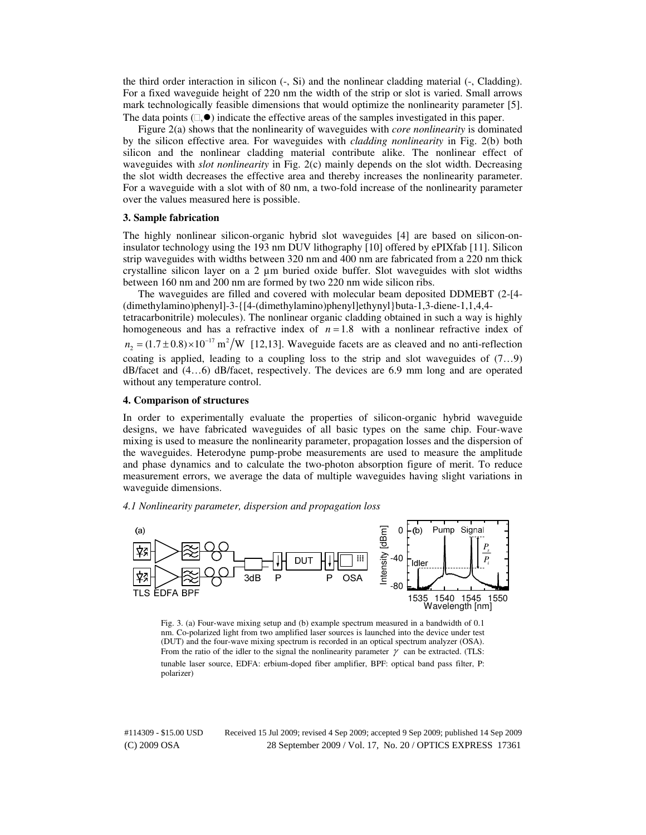the third order interaction in silicon (-, Si) and the nonlinear cladding material (-, Cladding). For a fixed waveguide height of 220 nm the width of the strip or slot is varied. Small arrows mark technologically feasible dimensions that would optimize the nonlinearity parameter [5]. The data points  $(\Box, \bullet)$  indicate the effective areas of the samples investigated in this paper.

Figure 2(a) shows that the nonlinearity of waveguides with *core nonlinearity* is dominated by the silicon effective area. For waveguides with *cladding nonlinearity* in Fig. 2(b) both silicon and the nonlinear cladding material contribute alike. The nonlinear effect of waveguides with *slot nonlinearity* in Fig. 2(c) mainly depends on the slot width. Decreasing the slot width decreases the effective area and thereby increases the nonlinearity parameter. For a waveguide with a slot with of 80 nm, a two-fold increase of the nonlinearity parameter over the values measured here is possible.

#### **3. Sample fabrication**

The highly nonlinear silicon-organic hybrid slot waveguides [4] are based on silicon-oninsulator technology using the 193 nm DUV lithography [10] offered by ePIXfab [11]. Silicon strip waveguides with widths between 320 nm and 400 nm are fabricated from a 220 nm thick crystalline silicon layer on a  $2 \mu m$  buried oxide buffer. Slot waveguides with slot widths between 160 nm and 200 nm are formed by two 220 nm wide silicon ribs.

The waveguides are filled and covered with molecular beam deposited DDMEBT (2-[4- (dimethylamino)phenyl]-3-{[4-(dimethylamino)phenyl]ethynyl}buta-1,3-diene-1,1,4,4 tetracarbonitrile) molecules). The nonlinear organic cladding obtained in such a way is highly homogeneous and has a refractive index of  $n = 1.8$  with a nonlinear refractive index of  $n_2 = (1.7 \pm 0.8) \times 10^{-17} \text{ m}^2/\text{W}$  [12,13]. Waveguide facets are as cleaved and no anti-reflection coating is applied, leading to a coupling loss to the strip and slot waveguides of (7…9) dB/facet and (4…6) dB/facet, respectively. The devices are 6.9 mm long and are operated without any temperature control.

## **4. Comparison of structures**

In order to experimentally evaluate the properties of silicon-organic hybrid waveguide designs, we have fabricated waveguides of all basic types on the same chip. Four-wave mixing is used to measure the nonlinearity parameter, propagation losses and the dispersion of the waveguides. Heterodyne pump-probe measurements are used to measure the amplitude and phase dynamics and to calculate the two-photon absorption figure of merit. To reduce measurement errors, we average the data of multiple waveguides having slight variations in waveguide dimensions.

*4.1 Nonlinearity parameter, dispersion and propagation loss* 



Fig. 3. (a) Four-wave mixing setup and (b) example spectrum measured in a bandwidth of 0.1 nm. Co-polarized light from two amplified laser sources is launched into the device under test (DUT) and the four-wave mixing spectrum is recorded in an optical spectrum analyzer (OSA). From the ratio of the idler to the signal the nonlinearity parameter  $\gamma$  can be extracted. (TLS: tunable laser source, EDFA: erbium-doped fiber amplifier, BPF: optical band pass filter, P: polarizer)

(C) 2009 OSA 28 September 2009 / Vol. 17, No. 20 / OPTICS EXPRESS 17361 #114309 - \$15.00 USD Received 15 Jul 2009; revised 4 Sep 2009; accepted 9 Sep 2009; published 14 Sep 2009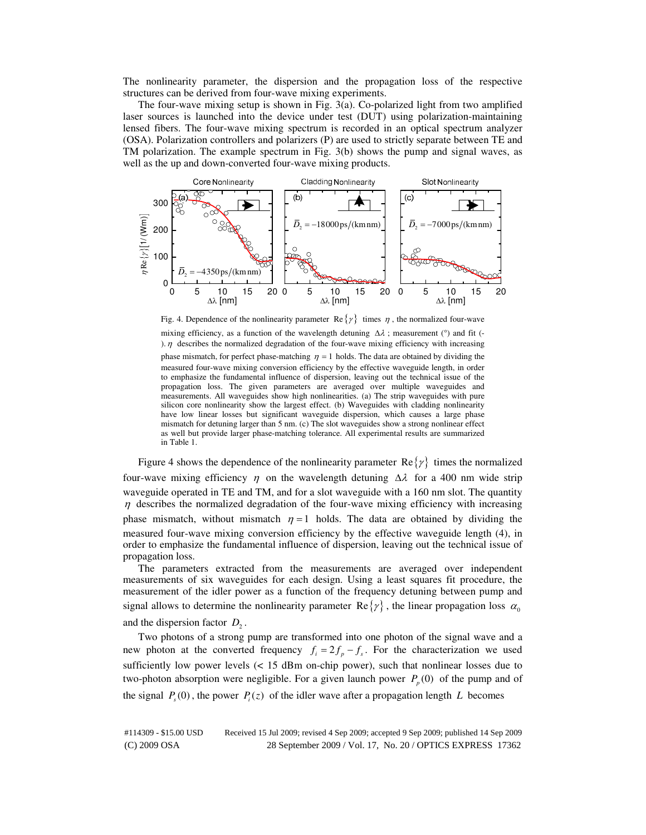The nonlinearity parameter, the dispersion and the propagation loss of the respective structures can be derived from four-wave mixing experiments.

The four-wave mixing setup is shown in Fig. 3(a). Co-polarized light from two amplified laser sources is launched into the device under test (DUT) using polarization-maintaining lensed fibers. The four-wave mixing spectrum is recorded in an optical spectrum analyzer (OSA). Polarization controllers and polarizers (P) are used to strictly separate between TE and TM polarization. The example spectrum in Fig. 3(b) shows the pump and signal waves, as well as the up and down-converted four-wave mixing products.



Fig. 4. Dependence of the nonlinearity parameter Re  $\{\gamma\}$  times  $\eta$ , the normalized four-wave

mixing efficiency, as a function of the wavelength detuning  $\Delta\lambda$ ; measurement (°) and fit (-).  $\eta$  describes the normalized degradation of the four-wave mixing efficiency with increasing phase mismatch, for perfect phase-matching  $\eta = 1$  holds. The data are obtained by dividing the measured four-wave mixing conversion efficiency by the effective waveguide length, in order to emphasize the fundamental influence of dispersion, leaving out the technical issue of the propagation loss. The given parameters are averaged over multiple waveguides and measurements. All waveguides show high nonlinearities. (a) The strip waveguides with pure silicon core nonlinearity show the largest effect. (b) Waveguides with cladding nonlinearity have low linear losses but significant waveguide dispersion, which causes a large phase mismatch for detuning larger than 5 nm. (c) The slot waveguides show a strong nonlinear effect as well but provide larger phase-matching tolerance. All experimental results are summarized in Table 1.

Figure 4 shows the dependence of the nonlinearity parameter  $\text{Re}\{\gamma\}$  times the normalized four-wave mixing efficiency  $\eta$  on the wavelength detuning  $\Delta \lambda$  for a 400 nm wide strip waveguide operated in TE and TM, and for a slot waveguide with a 160 nm slot. The quantity  $\eta$  describes the normalized degradation of the four-wave mixing efficiency with increasing phase mismatch, without mismatch  $\eta = 1$  holds. The data are obtained by dividing the measured four-wave mixing conversion efficiency by the effective waveguide length (4), in order to emphasize the fundamental influence of dispersion, leaving out the technical issue of propagation loss.

The parameters extracted from the measurements are averaged over independent measurements of six waveguides for each design. Using a least squares fit procedure, the measurement of the idler power as a function of the frequency detuning between pump and signal allows to determine the nonlinearity parameter  $\text{Re}\{\gamma\}$ , the linear propagation loss  $\alpha_0$ 

and the dispersion factor  $D_2$ .

Two photons of a strong pump are transformed into one photon of the signal wave and a new photon at the converted frequency  $f_i = 2f_p - f_s$ . For the characterization we used sufficiently low power levels  $\left($  < 15 dBm on-chip power), such that nonlinear losses due to two-photon absorption were negligible. For a given launch power  $P_p(0)$  of the pump and of the signal  $P_s(0)$ , the power  $P_i(z)$  of the idler wave after a propagation length *L* becomes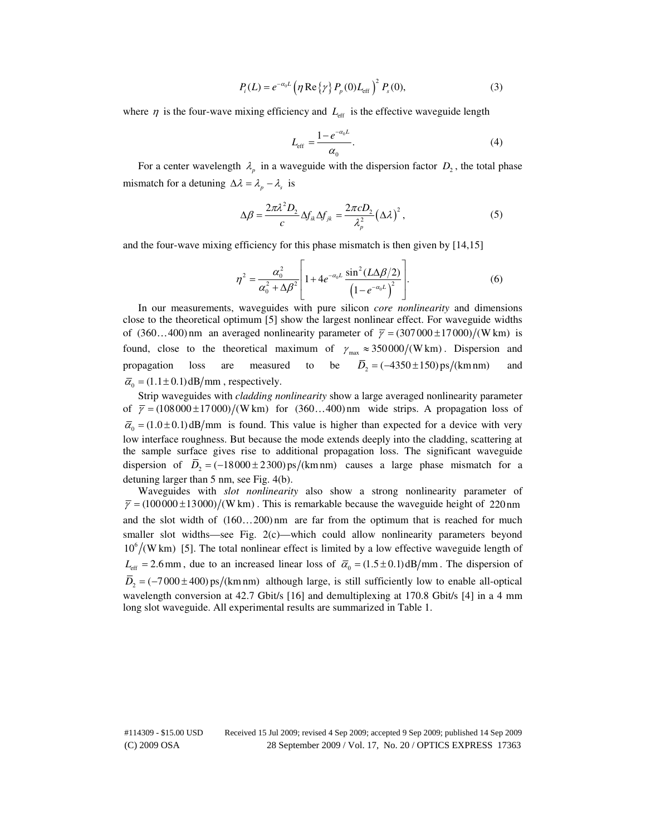$$
P_i(L) = e^{-\alpha_0 L} \left( \eta \operatorname{Re} \{ \gamma \} P_p(0) L_{\text{eff}} \right)^2 P_s(0), \tag{3}
$$

where  $\eta$  is the four-wave mixing efficiency and  $L_{\text{eff}}$  is the effective waveguide length

$$
L_{\rm eff} = \frac{1 - e^{-\alpha_0 L}}{\alpha_0}.\tag{4}
$$

For a center wavelength  $\lambda_p$  in a waveguide with the dispersion factor  $D_2$ , the total phase mismatch for a detuning  $\Delta \lambda = \lambda_p - \lambda_s$  is

$$
\Delta \beta = \frac{2\pi \lambda^2 D_2}{c} \Delta f_{ik} \Delta f_{jk} = \frac{2\pi c D_2}{\lambda_p^2} (\Delta \lambda)^2, \qquad (5)
$$

and the four-wave mixing efficiency for this phase mismatch is then given by [14,15]

$$
\eta^2 = \frac{\alpha_0^2}{\alpha_0^2 + \Delta \beta^2} \left[ 1 + 4e^{-\alpha_0 L} \frac{\sin^2(L\Delta \beta/2)}{\left(1 - e^{-\alpha_0 L}\right)^2} \right].
$$
 (6)

In our measurements, waveguides with pure silicon *core nonlinearity* and dimensions close to the theoretical optimum [5] show the largest nonlinear effect. For waveguide widths of  $(360...400)$  nm an averaged nonlinearity parameter of  $\overline{\gamma} = (307000 \pm 17000) / (W \text{ km})$  is found, close to the theoretical maximum of  $\gamma_{\text{max}} \approx 350000/(W \text{ km})$ . Dispersion and propagation loss are measured to be  $\overline{D}_2 = (-4350 \pm 150) \text{ps/(km nm)}$  and  $\overline{\alpha}_0 = (1.1 \pm 0.1) \text{ dB/mm}$ , respectively.

Strip waveguides with *cladding nonlinearity* show a large averaged nonlinearity parameter of  $\overline{\gamma} = (108000 \pm 17000) / (\text{W km})$  for  $(360...400)$  nm wide strips. A propagation loss of  $\overline{\alpha}_0 = (1.0 \pm 0.1) \text{ dB/mm}$  is found. This value is higher than expected for a device with very low interface roughness. But because the mode extends deeply into the cladding, scattering at the sample surface gives rise to additional propagation loss. The significant waveguide dispersion of  $\overline{D}_2 = (-18000 \pm 2300) \text{ ps/(km nm)}$  causes a large phase mismatch for a detuning larger than 5 nm, see Fig. 4(b).

Waveguides with *slot nonlinearity* also show a strong nonlinearity parameter of  $\overline{\gamma}$  = (100000 ± 13000)/(W km). This is remarkable because the waveguide height of 220 nm and the slot width of  $(160...200)$  nm are far from the optimum that is reached for much smaller slot widths—see Fig. 2(c)—which could allow nonlinearity parameters beyond  $10^6$ /(W km) [5]. The total nonlinear effect is limited by a low effective waveguide length of  $L_{\text{eff}} = 2.6 \text{ mm}$ , due to an increased linear loss of  $\bar{\alpha}_0 = (1.5 \pm 0.1) \text{ dB/mm}$ . The dispersion of  $\overline{D}_2 = (-7000 \pm 400) \text{ ps/(km nm)}$  although large, is still sufficiently low to enable all-optical wavelength conversion at 42.7 Gbit/s [16] and demultiplexing at 170.8 Gbit/s [4] in a 4 mm long slot waveguide. All experimental results are summarized in Table 1.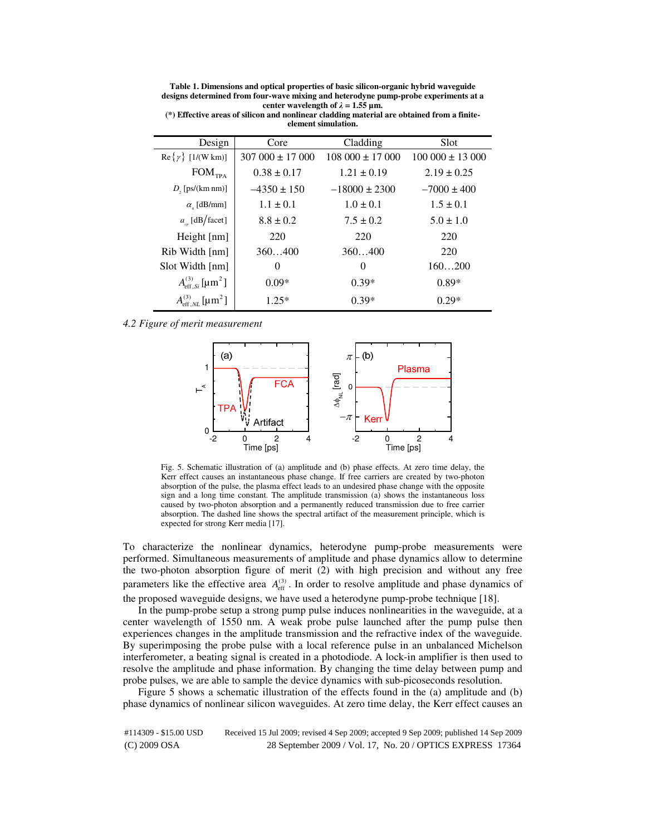**Table 1. Dimensions and optical properties of basic silicon-organic hybrid waveguide designs determined from four-wave mixing and heterodyne pump-probe experiments at a center wavelength of**  $λ = 1.55$  μm.

| Design                                     | Core               | Cladding           | Slot               |
|--------------------------------------------|--------------------|--------------------|--------------------|
| $\text{Re}\{\gamma\}$ [1/(W km)]           | $307000 \pm 17000$ | $108000 \pm 17000$ | $100000 \pm 13000$ |
| $\text{FOM}_\text{TPA}$                    | $0.38 \pm 0.17$    | $1.21 \pm 0.19$    | $2.19 \pm 0.25$    |
| $D_{\rm g}$ [ps/(km nm)]                   | $-4350 \pm 150$    | $-18000 \pm 2300$  | $-7000 \pm 400$    |
| $\alpha_{\rm o}$ [dB/mm]                   | $1.1 \pm 0.1$      | $1.0 \pm 0.1$      | $1.5 \pm 0.1$      |
| $a_{n}$ [dB/facet]                         | $8.8 \pm 0.2$      | $7.5 \pm 0.2$      | $5.0 \pm 1.0$      |
| Height [nm]                                | 220                | 220                | 220                |
| Rib Width [nm]                             | 360400             | 360400             | 220                |
| Slot Width [nm]                            | $\theta$           | $\Omega$           | 160200             |
| $A_{\text{eff}}^{(3)}$ [µm <sup>2</sup> ]  | $0.09*$            | $0.39*$            | $0.89*$            |
| $A_{\rm eff, NL}^{(3)}$ [µm <sup>2</sup> ] | $1.25*$            | $0.39*$            | $0.29*$            |

**(\*) Effective areas of silicon and nonlinear cladding material are obtained from a finiteelement simulation.** 

#### *4.2 Figure of merit measurement*



Fig. 5. Schematic illustration of (a) amplitude and (b) phase effects. At zero time delay, the Kerr effect causes an instantaneous phase change. If free carriers are created by two-photon absorption of the pulse, the plasma effect leads to an undesired phase change with the opposite sign and a long time constant. The amplitude transmission (a) shows the instantaneous loss caused by two-photon absorption and a permanently reduced transmission due to free carrier absorption. The dashed line shows the spectral artifact of the measurement principle, which is expected for strong Kerr media [17].

To characterize the nonlinear dynamics, heterodyne pump-probe measurements were performed. Simultaneous measurements of amplitude and phase dynamics allow to determine the two-photon absorption figure of merit (2) with high precision and without any free parameters like the effective area  $A_{\text{eff}}^{(3)}$ . In order to resolve amplitude and phase dynamics of the proposed waveguide designs, we have used a heterodyne pump-probe technique [18].

In the pump-probe setup a strong pump pulse induces nonlinearities in the waveguide, at a center wavelength of 1550 nm. A weak probe pulse launched after the pump pulse then experiences changes in the amplitude transmission and the refractive index of the waveguide. By superimposing the probe pulse with a local reference pulse in an unbalanced Michelson interferometer, a beating signal is created in a photodiode. A lock-in amplifier is then used to resolve the amplitude and phase information. By changing the time delay between pump and probe pulses, we are able to sample the device dynamics with sub-picoseconds resolution.

Figure 5 shows a schematic illustration of the effects found in the (a) amplitude and (b) phase dynamics of nonlinear silicon waveguides. At zero time delay, the Kerr effect causes an

(C) 2009 OSA 28 September 2009 / Vol. 17, No. 20 / OPTICS EXPRESS 17364 #114309 - \$15.00 USD Received 15 Jul 2009; revised 4 Sep 2009; accepted 9 Sep 2009; published 14 Sep 2009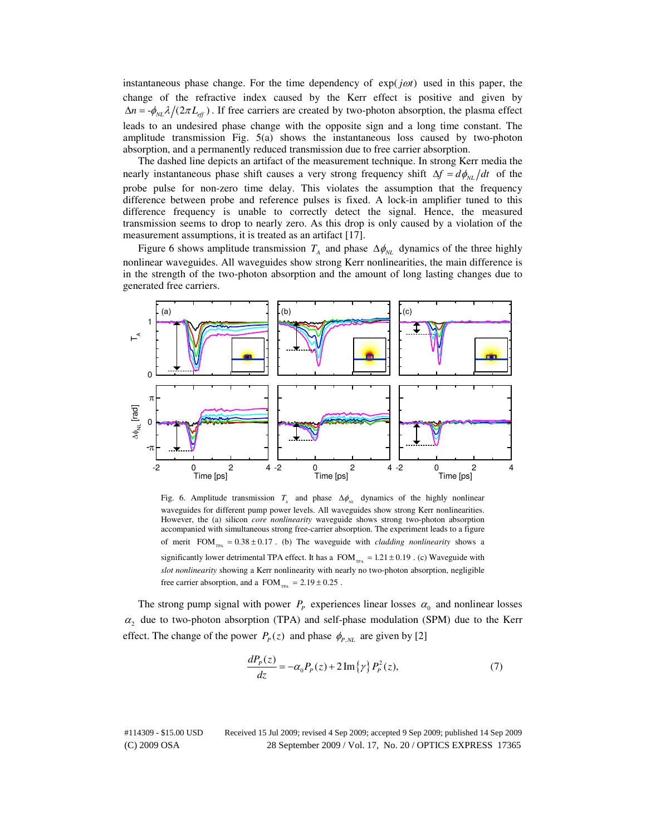instantaneous phase change. For the time dependency of  $exp(i\omega t)$  used in this paper, the change of the refractive index caused by the Kerr effect is positive and given by  $\Delta n = -\phi_{NL} \lambda / (2\pi L_{eff})$ . If free carriers are created by two-photon absorption, the plasma effect leads to an undesired phase change with the opposite sign and a long time constant. The amplitude transmission Fig.  $5(a)$  shows the instantaneous loss caused by two-photon absorption, and a permanently reduced transmission due to free carrier absorption.

The dashed line depicts an artifact of the measurement technique. In strong Kerr media the nearly instantaneous phase shift causes a very strong frequency shift  $\Delta f = d\phi_{NL}/dt$  of the probe pulse for non-zero time delay. This violates the assumption that the frequency difference between probe and reference pulses is fixed. A lock-in amplifier tuned to this difference frequency is unable to correctly detect the signal. Hence, the measured transmission seems to drop to nearly zero. As this drop is only caused by a violation of the measurement assumptions, it is treated as an artifact [17].

Figure 6 shows amplitude transmission  $T_A$  and phase  $\Delta \phi_{NL}$  dynamics of the three highly nonlinear waveguides. All waveguides show strong Kerr nonlinearities, the main difference is in the strength of the two-photon absorption and the amount of long lasting changes due to generated free carriers.



Fig. 6. Amplitude transmission  $T_A$  and phase  $\Delta \phi_{NL}$  dynamics of the highly nonlinear waveguides for different pump power levels. All waveguides show strong Kerr nonlinearities. However, the (a) silicon *core nonlinearity* waveguide shows strong two-photon absorption accompanied with simultaneous strong free-carrier absorption. The experiment leads to a figure of merit  $FOM_{TRA} = 0.38 \pm 0.17$ . (b) The waveguide with *cladding nonlinearity* shows a significantly lower detrimental TPA effect. It has a  $FOM_{TR} = 1.21 \pm 0.19$ . (c) Waveguide with *slot nonlinearity* showing a Kerr nonlinearity with nearly no two-photon absorption, negligible free carrier absorption, and a  $FOM_{TRA} = 2.19 \pm 0.25$ .

The strong pump signal with power  $P_p$  experiences linear losses  $\alpha_0$  and nonlinear losses  $\alpha_2$  due to two-photon absorption (TPA) and self-phase modulation (SPM) due to the Kerr effect. The change of the power  $P_p(z)$  and phase  $\phi_{P,NL}$  are given by [2]

$$
\frac{dP_p(z)}{dz} = -\alpha_0 P_p(z) + 2\operatorname{Im}\left\{\gamma\right\} P_p^2(z),\tag{7}
$$

(C) 2009 OSA 28 September 2009 / Vol. 17, No. 20 / OPTICS EXPRESS 17365 #114309 - \$15.00 USD Received 15 Jul 2009; revised 4 Sep 2009; accepted 9 Sep 2009; published 14 Sep 2009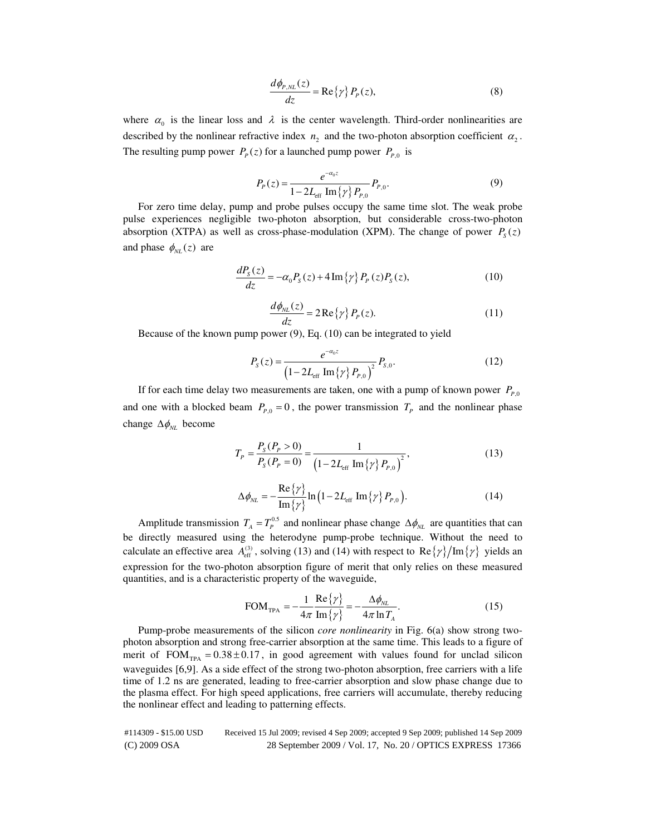$$
\frac{d\phi_{P,NL}(z)}{dz} = \text{Re}\{\gamma\} P_P(z),\tag{8}
$$

where  $\alpha_0$  is the linear loss and  $\lambda$  is the center wavelength. Third-order nonlinearities are described by the nonlinear refractive index  $n_2$  and the two-photon absorption coefficient  $\alpha_2$ . The resulting pump power  $P_p(z)$  for a launched pump power  $P_{p,0}$  is

$$
P_P(z) = \frac{e^{-\alpha_0 z}}{1 - 2L_{\text{eff}} \operatorname{Im} \{ \gamma \} P_{P,0}} P_{P,0}.
$$
 (9)

For zero time delay, pump and probe pulses occupy the same time slot. The weak probe pulse experiences negligible two-photon absorption, but considerable cross-two-photon absorption (XTPA) as well as cross-phase-modulation (XPM). The change of power  $P_s(z)$ and phase  $\phi_{NL}(z)$  are

$$
\frac{dP_s(z)}{dz} = -\alpha_0 P_s(z) + 4\operatorname{Im}\left\{\gamma\right\} P_p(z) P_s(z),\tag{10}
$$

$$
\frac{d\phi_{NL}(z)}{dz} = 2\operatorname{Re}\left\{\gamma\right\} P_P(z). \tag{11}
$$

Because of the known pump power (9), Eq. (10) can be integrated to yield

$$
P_{S}(z) = \frac{e^{-\alpha_{0}z}}{\left(1 - 2L_{\text{eff}} \operatorname{Im} \{ \gamma \} P_{P,0}\right)^{2}} P_{S,0}.
$$
 (12)

If for each time delay two measurements are taken, one with a pump of known power  $P_{P,0}$ and one with a blocked beam  $P_{p,0} = 0$ , the power transmission  $T_p$  and the nonlinear phase change  $Δφ<sub>NL</sub>$  become

$$
T_{P} = \frac{P_{s}(P_{P} > 0)}{P_{s}(P_{P} = 0)} = \frac{1}{\left(1 - 2L_{\text{eff}} \operatorname{Im} \{ \gamma \} P_{P,0} \right)^{2}},\tag{13}
$$

$$
\Delta \phi_{NL} = -\frac{\text{Re}\left\{\gamma\right\}}{\text{Im}\left\{\gamma\right\}} \ln \left(1 - 2L_{\text{eff}} \text{Im}\left\{\gamma\right\} P_{P,0}\right). \tag{14}
$$

Amplitude transmission  $T_A = T_P^{0.5}$  and nonlinear phase change  $\Delta \phi_{NL}$  are quantities that can be directly measured using the heterodyne pump-probe technique. Without the need to calculate an effective area  $A_{\text{eff}}^{(3)}$ , solving (13) and (14) with respect to Re  $\{\gamma\}$ /Im $\{\gamma\}$  yields an expression for the two-photon absorption figure of merit that only relies on these measured quantities, and is a characteristic property of the waveguide,

$$
\text{FOM}_{\text{TPA}} = -\frac{1}{4\pi} \frac{\text{Re}\{\gamma\}}{\text{Im}\{\gamma\}} = -\frac{\Delta \phi_{NL}}{4\pi \ln T_A}.
$$
 (15)

Pump-probe measurements of the silicon *core nonlinearity* in Fig. 6(a) show strong twophoton absorption and strong free-carrier absorption at the same time. This leads to a figure of merit of  $FOM_{TPA} = 0.38 \pm 0.17$ , in good agreement with values found for unclad silicon waveguides [6,9]. As a side effect of the strong two-photon absorption, free carriers with a life time of 1.2 ns are generated, leading to free-carrier absorption and slow phase change due to the plasma effect. For high speed applications, free carriers will accumulate, thereby reducing the nonlinear effect and leading to patterning effects.

(C) 2009 OSA 28 September 2009 / Vol. 17, No. 20 / OPTICS EXPRESS 17366 #114309 - \$15.00 USD Received 15 Jul 2009; revised 4 Sep 2009; accepted 9 Sep 2009; published 14 Sep 2009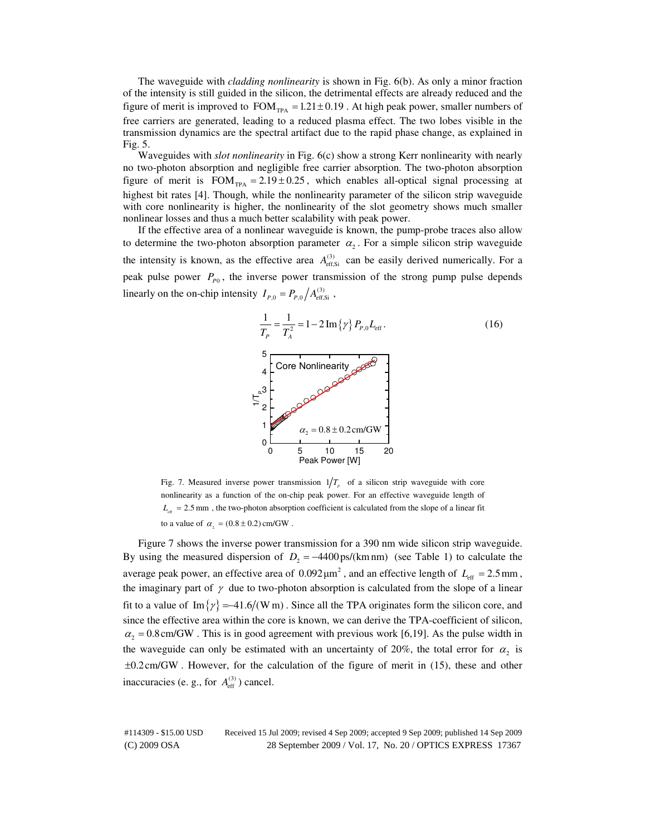The waveguide with *cladding nonlinearity* is shown in Fig. 6(b). As only a minor fraction of the intensity is still guided in the silicon, the detrimental effects are already reduced and the figure of merit is improved to  $FOM_{TPA} = 1.21 \pm 0.19$ . At high peak power, smaller numbers of free carriers are generated, leading to a reduced plasma effect. The two lobes visible in the transmission dynamics are the spectral artifact due to the rapid phase change, as explained in Fig. 5.

Waveguides with *slot nonlinearity* in Fig. 6(c) show a strong Kerr nonlinearity with nearly no two-photon absorption and negligible free carrier absorption. The two-photon absorption figure of merit is  $FOM_{TPA} = 2.19 \pm 0.25$ , which enables all-optical signal processing at highest bit rates [4]. Though, while the nonlinearity parameter of the silicon strip waveguide with core nonlinearity is higher, the nonlinearity of the slot geometry shows much smaller nonlinear losses and thus a much better scalability with peak power.

If the effective area of a nonlinear waveguide is known, the pump-probe traces also allow to determine the two-photon absorption parameter  $\alpha_2$ . For a simple silicon strip waveguide the intensity is known, as the effective area  $A_{\text{eff,Si}}^{(3)}$  can be easily derived numerically. For a peak pulse power  $P_{p_0}$ , the inverse power transmission of the strong pump pulse depends linearly on the on-chip intensity  $I_{P,0} = P_{P,0} / A_{\text{eff,Si}}^{(3)}$ ,



Fig. 7. Measured inverse power transmission  $1/T<sub>p</sub>$  of a silicon strip waveguide with core nonlinearity as a function of the on-chip peak power. For an effective waveguide length of  $L_{\text{eff}} = 2.5 \text{ mm}$ , the two-photon absorption coefficient is calculated from the slope of a linear fit to a value of  $\alpha_{2} = (0.8 \pm 0.2) \text{ cm/GW}$ .

Figure 7 shows the inverse power transmission for a 390 nm wide silicon strip waveguide. By using the measured dispersion of  $D_2 = -4400 \text{ ps/(km nm)}$  (see Table 1) to calculate the average peak power, an effective area of  $0.092 \mu m^2$ , and an effective length of  $L_{\text{eff}} = 2.5 \text{ mm}$ , the imaginary part of  $\gamma$  due to two-photon absorption is calculated from the slope of a linear fit to a value of Im  $\{\gamma\} = -41.6/(W \text{ m})$ . Since all the TPA originates form the silicon core, and since the effective area within the core is known, we can derive the TPA-coefficient of silicon,  $\alpha_2 = 0.8$  cm/GW. This is in good agreement with previous work [6,19]. As the pulse width in the waveguide can only be estimated with an uncertainty of 20%, the total error for  $\alpha_2$  is ±0.2cm/GW . However, for the calculation of the figure of merit in (15), these and other inaccuracies (e. g., for  $A_{\text{eff}}^{(3)}$ ) cancel.

(C) 2009 OSA 28 September 2009 / Vol. 17, No. 20 / OPTICS EXPRESS 17367 #114309 - \$15.00 USD Received 15 Jul 2009; revised 4 Sep 2009; accepted 9 Sep 2009; published 14 Sep 2009